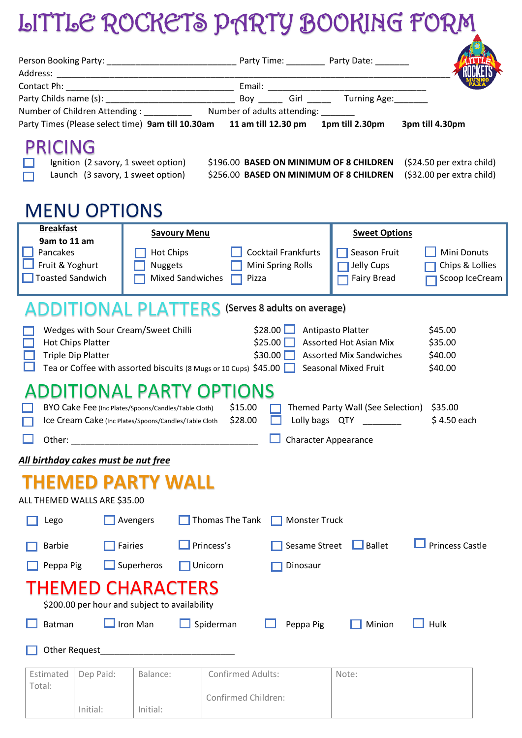## LITTLE ROCKETS PARTY BOOKING FORM

| Party Times (Please select time) 9am till 10.30am 11 am till 12.30 pm<br><b>PRICING</b><br>Ignition (2 savory, 1 sweet option)<br>Launch (3 savory, 1 sweet option)                                                                                                                                                                                                                                                              | Number of Children Attending: ______________ Number of adults attending: _______<br>\$196.00 BASED ON MINIMUM OF 8 CHILDREN<br>\$256.00 BASED ON MINIMUM OF 8 CHILDREN                                                                                                                                    | 1pm till 2.30pm<br>3pm till 4.30pm<br>(\$24.50 per extra child)<br>(\$32.00 per extra child) |  |  |  |  |  |
|----------------------------------------------------------------------------------------------------------------------------------------------------------------------------------------------------------------------------------------------------------------------------------------------------------------------------------------------------------------------------------------------------------------------------------|-----------------------------------------------------------------------------------------------------------------------------------------------------------------------------------------------------------------------------------------------------------------------------------------------------------|----------------------------------------------------------------------------------------------|--|--|--|--|--|
| <b>MENU OPTIONS</b><br><b>Breakfast</b><br>9am to 11 am<br>Pancakes<br>Fruit & Yoghurt<br><b>Toasted Sandwich</b>                                                                                                                                                                                                                                                                                                                | <b>Savoury Menu</b><br><b>Sweet Options</b><br><b>Cocktail Frankfurts</b><br>Mini Donuts<br>Hot Chips<br>Season Fruit<br>Chips & Lollies<br><b>Nuggets</b><br>Mini Spring Rolls<br>Jelly Cups<br><b>Mixed Sandwiches</b><br>Scoop IceCream<br><b>Fairy Bread</b><br>Pizza<br>(Serves 8 adults on average) |                                                                                              |  |  |  |  |  |
| ADDITIONAL PLATTERS<br>\$28.00<br>Antipasto Platter<br>\$45.00<br>Wedges with Sour Cream/Sweet Chilli<br>\$25.00<br><b>Assorted Hot Asian Mix</b><br><b>Hot Chips Platter</b><br>\$35.00<br><b>Triple Dip Platter</b><br>$$30.00$ $\Box$<br><b>Assorted Mix Sandwiches</b><br>\$40.00<br>Tea or Coffee with assorted biscuits (8 Mugs or 10 Cups) $$45.00$<br><b>Seasonal Mixed Fruit</b><br>\$40.00<br>ADDITIONAL PARTY OPTIONS |                                                                                                                                                                                                                                                                                                           |                                                                                              |  |  |  |  |  |
| \$15.00<br>Themed Party Wall (See Selection)<br>\$35.00<br>BYO Cake Fee (Inc Plates/Spoons/Candles/Table Cloth)<br>Lolly bags QTY<br>\$4.50 each<br>\$28.00<br>Ice Cream Cake (Inc Plates/Spoons/Candles/Table Cloth<br><b>Character Appearance</b><br>Other:                                                                                                                                                                    |                                                                                                                                                                                                                                                                                                           |                                                                                              |  |  |  |  |  |
| All birthday cakes must be nut free                                                                                                                                                                                                                                                                                                                                                                                              |                                                                                                                                                                                                                                                                                                           |                                                                                              |  |  |  |  |  |
| THEMED PARTY WALL<br>ALL THEMED WALLS ARE \$35.00                                                                                                                                                                                                                                                                                                                                                                                |                                                                                                                                                                                                                                                                                                           |                                                                                              |  |  |  |  |  |
| Avengers<br>Lego                                                                                                                                                                                                                                                                                                                                                                                                                 | Thomas The Tank<br><b>Monster Truck</b>                                                                                                                                                                                                                                                                   |                                                                                              |  |  |  |  |  |
| <b>Fairies</b><br><b>Barbie</b>                                                                                                                                                                                                                                                                                                                                                                                                  | Princess's<br>Sesame Street                                                                                                                                                                                                                                                                               | <b>Princess Castle</b><br>$\Box$ Ballet                                                      |  |  |  |  |  |
| $\Box$ Superheros<br>Peppa Pig                                                                                                                                                                                                                                                                                                                                                                                                   | Unicorn<br>Dinosaur                                                                                                                                                                                                                                                                                       |                                                                                              |  |  |  |  |  |
| <b>THEMED CHARACTERS</b><br>\$200.00 per hour and subject to availability                                                                                                                                                                                                                                                                                                                                                        |                                                                                                                                                                                                                                                                                                           |                                                                                              |  |  |  |  |  |
| Iron Man<br>Batman                                                                                                                                                                                                                                                                                                                                                                                                               | Spiderman<br>Peppa Pig                                                                                                                                                                                                                                                                                    | Minion<br>Hulk                                                                               |  |  |  |  |  |
| Other Request                                                                                                                                                                                                                                                                                                                                                                                                                    |                                                                                                                                                                                                                                                                                                           |                                                                                              |  |  |  |  |  |
| Estimated<br>Dep Paid:<br>Balance:<br>Total:                                                                                                                                                                                                                                                                                                                                                                                     | Confirmed Adults:                                                                                                                                                                                                                                                                                         | Note:                                                                                        |  |  |  |  |  |
| Initial:<br>Initial:                                                                                                                                                                                                                                                                                                                                                                                                             | Confirmed Children:                                                                                                                                                                                                                                                                                       |                                                                                              |  |  |  |  |  |